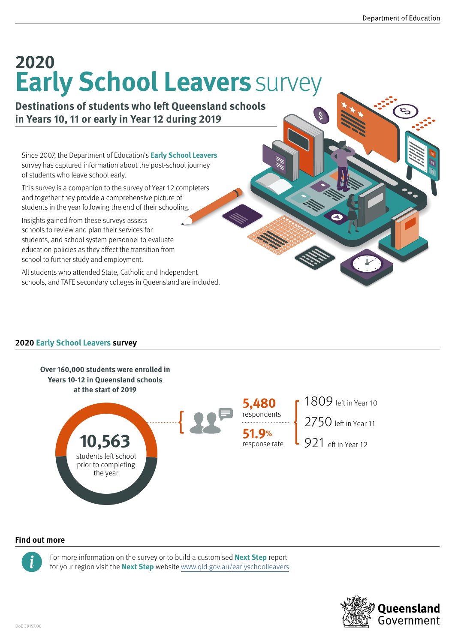# **Early School Leavers** survey **2020**

**Destinations of students who left Queensland schools in Years 10, 11 or early in Year 12 during 2019**

Since 2007, the Department of Education's **Early School Leavers** survey has captured information about the post-school journey of students who leave school early.

This survey is a companion to the survey of Year 12 completers and together they provide a comprehensive picture of students in the year following the end of their schooling.

Insights gained from these surveys assists schools to review and plan their services for students, and school system personnel to evaluate education policies as they affect the transition from school to further study and employment.

All students who attended State, Catholic and Independent schools, and TAFE secondary colleges in Queensland are included.

### **2020 Early School Leavers survey**



#### **Find out more**



For more information on the survey or to build a customised **Next Step** report for your region visit the **Next Step** website www.qld.gov.au/earlyschoolleavers

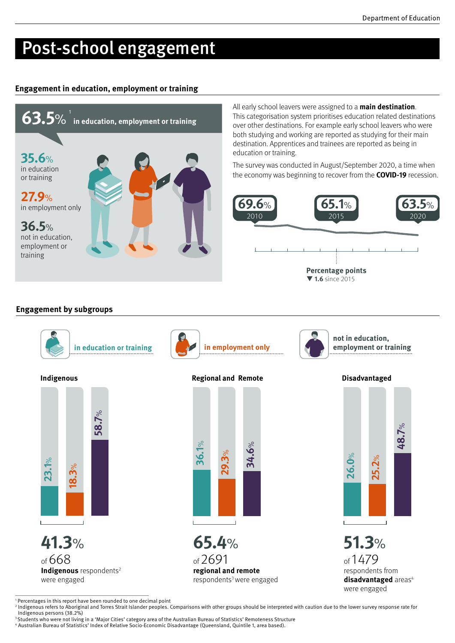**48.7**  $\rm{e}^{\rm{c}}$ 

### Post-school engagement

#### **Engagement in education, employment or training**



All early school leavers were assigned to a **main destination**. This categorisation system prioritises education related destinations over other destinations. For example early school leavers who were both studying and working are reported as studying for their main destination. Apprentices and trainees are reported as being in education or training.

The survey was conducted in August/September 2020, a time when the economy was beginning to recover from the **COVID-19** recession.



#### **Engagement by subgroups**

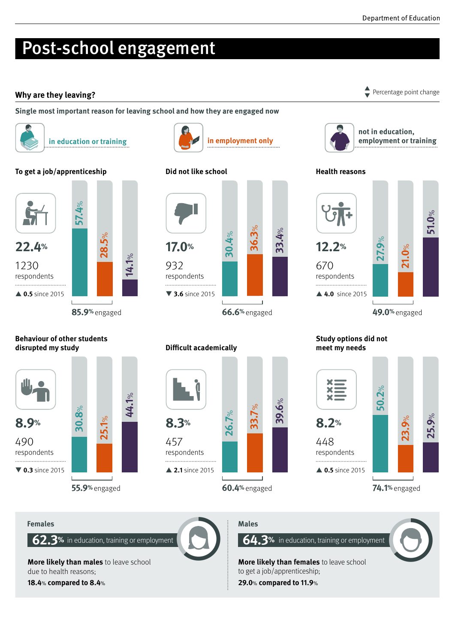# Post-school engagement

### **Why are they leaving?** Percentage point change **and the set of the set of the set of the set of the set of the set of the set of the set of the set of the set of the set of the set of the set of the set of the set of the**

**Single most important reason for leaving school and how they are engaged now**



**in education or training <b>in employment only in employment only** 

#### **To get a job/apprenticeship**



**Behaviour of other students** 

**disrupted my study**

**25.1**  $\aleph$  **44.1**  $\%$ 

**30.8** %

490 respondents

**8.9%**

▼ **0.3** since 2015

#### **Did not like school**



#### **Difficult academically**



**39.6** %



 $\blacktriangledown$ 

**not in education, employment or training**

#### **Health reasons**



#### **Study options did not meet my needs**



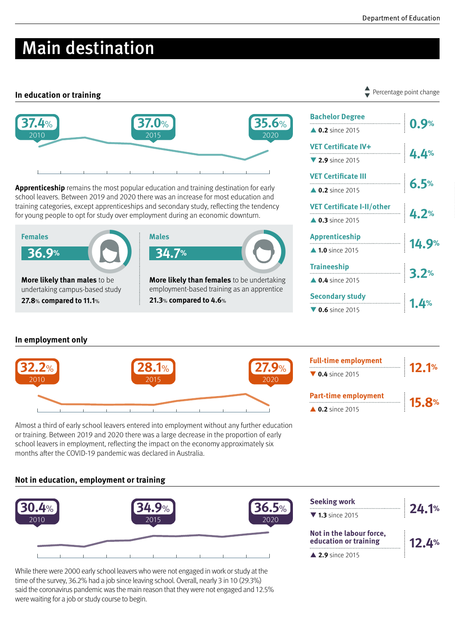### Main destination

#### **In education or training**



**Apprenticeship** remains the most popular education and training destination for early school leavers. Between 2019 and 2020 there was an increase for most education and training categories, except apprenticeships and secondary study, reflecting the tendency for young people to opt for study over employment during an economic downturn.





**21.3**% **compared to 4.6**%

| <b>Bachelor Degree</b>              | 0.9%  |
|-------------------------------------|-------|
| <b>1.0.2</b> since 2015             |       |
| VET Certificate IV+                 | 4.4%  |
| $\blacktriangledown$ 2.9 since 2015 |       |
| <b>VET Certificate III</b>          |       |
| $\triangle$ 0.2 since 2015          | 6.5%  |
| VET Certificate I-II/other<br>4.2%  |       |
| <b>1.3</b> since 2015               |       |
| <b>Apprenticeship</b>               | 14.9% |
| ▲ 1.0 since 2015                    |       |
| <b>Traineeship</b>                  |       |
| <b>1.4</b> since 2015               | 3.2%  |
| <b>Secondary study</b><br>!         |       |
| $\sqrt{0.6}$ since 2015             |       |

#### **In employment only**



or training. Between 2019 and 2020 there was a large decrease in the proportion of early school leavers in employment, reflecting the impact on the economy approximately six months after the COVID-19 pandemic was declared in Australia.

#### **Not in education, employment or training**



While there were 2000 early school leavers who were not engaged in work or study at the time of the survey, 36.2% had a job since leaving school. Overall, nearly 3 in 10 (29.3%) said the coronavirus pandemic was the main reason that they were not engaged and 12.5% were waiting for a job or study course to begin.

Percentage point change  $\blacktriangledown$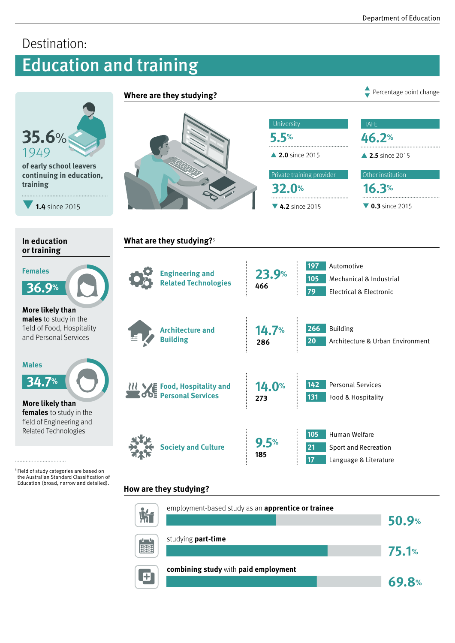**69.8%**

### Destination:

## Education and training



**combining study** with **paid employment**<br> **exploresness** 

 $\mathbf{E}$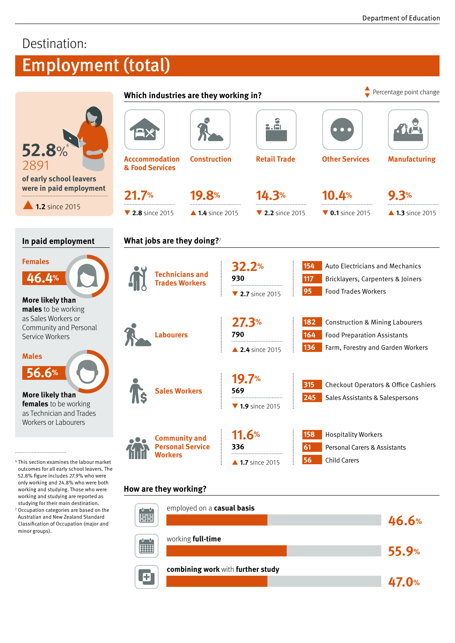**47.0%**

### Destination:

# Employment (total)

|                                                                                                                                                                                                                                                                                                                                  | Which industries are they working in?                               |                  |                                                          |                                     |                                                                                                                               | Percentage point change                                                                                               |  |
|----------------------------------------------------------------------------------------------------------------------------------------------------------------------------------------------------------------------------------------------------------------------------------------------------------------------------------|---------------------------------------------------------------------|------------------|----------------------------------------------------------|-------------------------------------|-------------------------------------------------------------------------------------------------------------------------------|-----------------------------------------------------------------------------------------------------------------------|--|
| <b>52.8%</b><br>2891<br>of early school leavers<br>were in paid employment                                                                                                                                                                                                                                                       | <b>Acccommodation</b><br>& Food Services                            |                  | <u>a.ň</u><br><b>Retail Trade</b><br><b>Construction</b> |                                     | $\bullet$ $\bullet$ (<br><b>Other Services</b>                                                                                | <b>Manufacturing</b>                                                                                                  |  |
|                                                                                                                                                                                                                                                                                                                                  | 21.7%                                                               | <b>19.8%</b>     |                                                          | 14.3%                               | 10.4%                                                                                                                         | 9.3%                                                                                                                  |  |
| 1.2 since 2015                                                                                                                                                                                                                                                                                                                   | $\blacktriangledown$ 2.8 since 2015                                 | ▲ 1.4 since 2015 |                                                          | $\blacktriangledown$ 2.2 since 2015 | $\blacktriangledown$ 0.1 since 2015                                                                                           | $\triangle$ 1.3 since 2015                                                                                            |  |
| In paid employment                                                                                                                                                                                                                                                                                                               | What jobs are they doing?7                                          |                  |                                                          |                                     |                                                                                                                               |                                                                                                                       |  |
| <b>Females</b><br>46.4%<br>More likely than                                                                                                                                                                                                                                                                                      | <b>Technicians and</b><br><b>Trades Workers</b><br><b>Labourers</b> |                  | <b>32.2%</b><br>930<br>▼ 2.7 since 2015                  |                                     | <b>Auto Electricians and Mechanics</b><br>154<br>117<br>Bricklayers, Carpenters & Joiners<br>95<br><b>Food Trades Workers</b> |                                                                                                                       |  |
| males to be working<br>as Sales Workers or<br>Community and Personal<br>Service Workers<br><b>Males</b>                                                                                                                                                                                                                          |                                                                     |                  | 27.3%<br>790<br>▲ 2.4 since 2015                         |                                     | 182<br>164<br>136                                                                                                             | <b>Construction &amp; Mining Labourers</b><br><b>Food Preparation Assistants</b><br>Farm, Forestry and Garden Workers |  |
| 56.6%<br>More likely than<br>females to be working<br>as Technician and Trades                                                                                                                                                                                                                                                   | <b>Sales Workers</b>                                                |                  | 19.7%<br>569<br>$\nabla$ 1.9 since 2015                  |                                     | 315<br>245                                                                                                                    | <b>Checkout Operators &amp; Office Cashiers</b><br>Sales Assistants & Salespersons                                    |  |
| Workers or Labourers<br>$^6$ This section examines the labour market<br>outcomes for all early school leavers. The                                                                                                                                                                                                               | <b>Community and</b><br><b>Personal Service</b><br><b>Workers</b>   |                  | 11.6%<br>336                                             | $\triangle$ 1.7 since 2015          | <b>Hospitality Workers</b><br>158<br>-61<br>56<br><b>Child Carers</b>                                                         | <b>Personal Carers &amp; Assistants</b>                                                                               |  |
| 52.8% figure includes 27.9% who were<br>only working and 24.8% who were both<br>working and studying. Those who were<br>working and studying are reported as<br>studying for their main destination.<br>Occupation categories are based on the<br>Australian and New Zealand Standard<br>Classification of Occupation (major and | How are they working?                                               |                  |                                                          |                                     |                                                                                                                               |                                                                                                                       |  |
|                                                                                                                                                                                                                                                                                                                                  | employed on a casual basis<br>լ է հա<br><b>ETH</b>                  |                  |                                                          |                                     |                                                                                                                               | 46.6%                                                                                                                 |  |
| minor groups).                                                                                                                                                                                                                                                                                                                   | working full-time<br>u un<br>H                                      |                  |                                                          |                                     |                                                                                                                               | <b>55.9%</b>                                                                                                          |  |

**combining work** with **further study combining work** with **further study** 

 $\mathbf{E}$